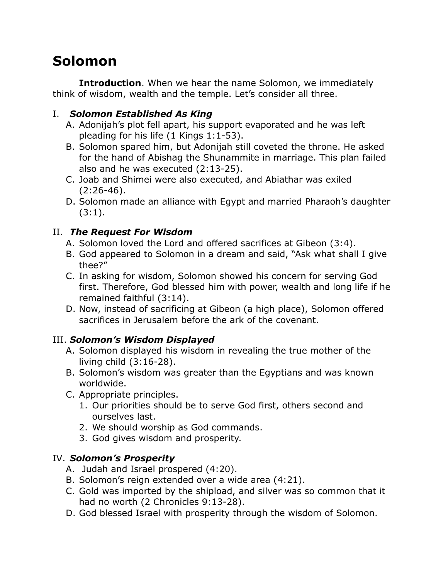# **Solomon**

**Introduction.** When we hear the name Solomon, we immediately think of wisdom, wealth and the temple. Let's consider all three.

## I. *Solomon Established As King*

- A. Adonijah's plot fell apart, his support evaporated and he was left pleading for his life (1 Kings 1:1-53).
- B. Solomon spared him, but Adonijah still coveted the throne. He asked for the hand of Abishag the Shunammite in marriage. This plan failed also and he was executed (2:13-25).
- C. Joab and Shimei were also executed, and Abiathar was exiled (2:26-46).
- D. Solomon made an alliance with Egypt and married Pharaoh's daughter  $(3:1).$

## II. *The Request For Wisdom*

- A. Solomon loved the Lord and offered sacrifices at Gibeon (3:4).
- B. God appeared to Solomon in a dream and said, "Ask what shall I give thee?"
- C. In asking for wisdom, Solomon showed his concern for serving God first. Therefore, God blessed him with power, wealth and long life if he remained faithful (3:14).
- D. Now, instead of sacrificing at Gibeon (a high place), Solomon offered sacrifices in Jerusalem before the ark of the covenant.

## III. *Solomon's Wisdom Displayed*

- A. Solomon displayed his wisdom in revealing the true mother of the living child (3:16-28).
- B. Solomon's wisdom was greater than the Egyptians and was known worldwide.
- C. Appropriate principles.
	- 1. Our priorities should be to serve God first, others second and ourselves last.
	- 2. We should worship as God commands.
	- 3. God gives wisdom and prosperity.

#### IV. *Solomon's Prosperity*

- A. Judah and Israel prospered (4:20).
- B. Solomon's reign extended over a wide area (4:21).
- C. Gold was imported by the shipload, and silver was so common that it had no worth (2 Chronicles 9:13-28).
- D. God blessed Israel with prosperity through the wisdom of Solomon.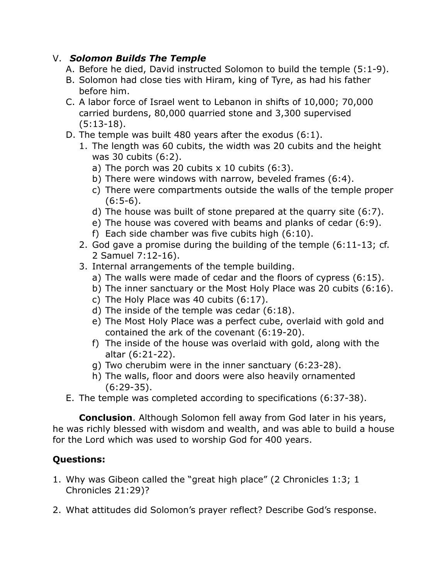#### V. *Solomon Builds The Temple*

- A. Before he died, David instructed Solomon to build the temple (5:1-9).
- B. Solomon had close ties with Hiram, king of Tyre, as had his father before him.
- C. A labor force of Israel went to Lebanon in shifts of 10,000; 70,000 carried burdens, 80,000 quarried stone and 3,300 supervised (5:13-18).
- D. The temple was built 480 years after the exodus (6:1).
	- 1. The length was 60 cubits, the width was 20 cubits and the height was 30 cubits (6:2).
		- a) The porch was 20 cubits  $x$  10 cubits  $(6:3)$ .
		- b) There were windows with narrow, beveled frames (6:4).
		- c) There were compartments outside the walls of the temple proper  $(6:5-6)$ .
		- d) The house was built of stone prepared at the quarry site (6:7).
		- e) The house was covered with beams and planks of cedar (6:9).
		- f) Each side chamber was five cubits high (6:10).
	- 2. God gave a promise during the building of the temple (6:11-13; cf. 2 Samuel 7:12-16).
	- 3. Internal arrangements of the temple building.
		- a) The walls were made of cedar and the floors of cypress (6:15).
		- b) The inner sanctuary or the Most Holy Place was 20 cubits (6:16).
		- c) The Holy Place was 40 cubits (6:17).
		- d) The inside of the temple was cedar (6:18).
		- e) The Most Holy Place was a perfect cube, overlaid with gold and contained the ark of the covenant (6:19-20).
		- f) The inside of the house was overlaid with gold, along with the altar (6:21-22).
		- g) Two cherubim were in the inner sanctuary (6:23-28).
		- h) The walls, floor and doors were also heavily ornamented (6:29-35).
- E. The temple was completed according to specifications (6:37-38).

**Conclusion**. Although Solomon fell away from God later in his years, he was richly blessed with wisdom and wealth, and was able to build a house for the Lord which was used to worship God for 400 years.

## **Questions:**

- 1. Why was Gibeon called the "great high place" (2 Chronicles 1:3; 1 Chronicles 21:29)?
- 2. What attitudes did Solomon's prayer reflect? Describe God's response.